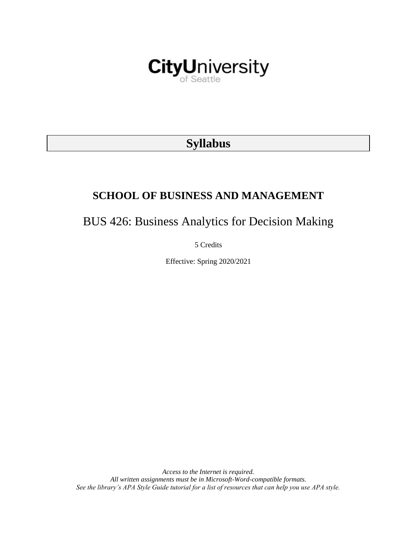

# **Syllabus**

# **SCHOOL OF BUSINESS AND MANAGEMENT**

BUS 426: Business Analytics for Decision Making

5 Credits

Effective: Spring 2020/2021

*Access to the Internet is required. All written assignments must be in Microsoft-Word-compatible formats. See the library's APA Style Guide tutorial for a list of resources that can help you use APA style.*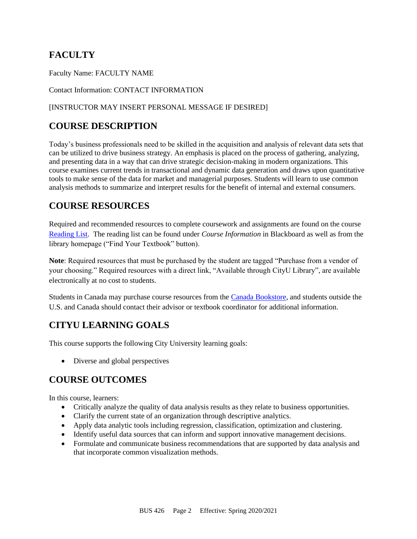# **FACULTY**

Faculty Name: FACULTY NAME

Contact Information: CONTACT INFORMATION

### [INSTRUCTOR MAY INSERT PERSONAL MESSAGE IF DESIRED]

# **COURSE DESCRIPTION**

Today's business professionals need to be skilled in the acquisition and analysis of relevant data sets that can be utilized to drive business strategy. An emphasis is placed on the process of gathering, analyzing, and presenting data in a way that can drive strategic decision-making in modern organizations. This course examines current trends in transactional and dynamic data generation and draws upon quantitative tools to make sense of the data for market and managerial purposes. Students will learn to use common analysis methods to summarize and interpret results for the benefit of internal and external consumers.

# **COURSE RESOURCES**

Required and recommended resources to complete coursework and assignments are found on the course [Reading List.](https://cityu.alma.exlibrisgroup.com/leganto/login?auth=SAML) The reading list can be found under *Course Information* in Blackboard as well as from the library homepage ("Find Your Textbook" button).

**Note**: Required resources that must be purchased by the student are tagged "Purchase from a vendor of your choosing." Required resources with a direct link, "Available through CityU Library", are available electronically at no cost to students.

Students in Canada may purchase course resources from the [Canada Bookstore,](https://www.cityubookstore.ca/index.asp) and students outside the U.S. and Canada should contact their advisor or textbook coordinator for additional information.

# **CITYU LEARNING GOALS**

This course supports the following City University learning goals:

• Diverse and global perspectives

# **COURSE OUTCOMES**

In this course, learners:

- Critically analyze the quality of data analysis results as they relate to business opportunities.
- Clarify the current state of an organization through descriptive analytics.
- Apply data analytic tools including regression, classification, optimization and clustering.
- Identify useful data sources that can inform and support innovative management decisions.
- Formulate and communicate business recommendations that are supported by data analysis and that incorporate common visualization methods.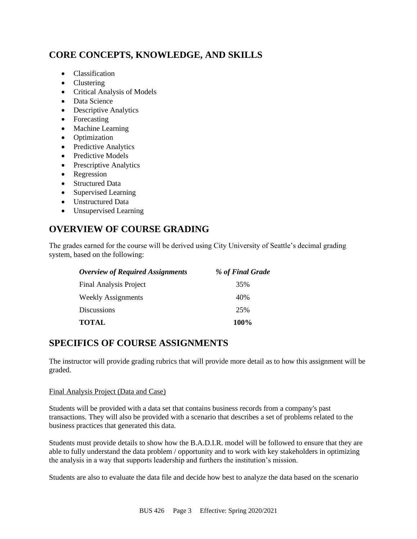# **CORE CONCEPTS, KNOWLEDGE, AND SKILLS**

- Classification
- Clustering
- Critical Analysis of Models
- Data Science
- Descriptive Analytics
- Forecasting
- Machine Learning
- Optimization
- Predictive Analytics
- Predictive Models
- Prescriptive Analytics
- Regression
- Structured Data
- Supervised Learning
- Unstructured Data
- Unsupervised Learning

# **OVERVIEW OF COURSE GRADING**

The grades earned for the course will be derived using City University of Seattle's decimal grading system, based on the following:

| <b>Overview of Required Assignments</b> | % of Final Grade |
|-----------------------------------------|------------------|
| <b>Final Analysis Project</b>           | 35%              |
| Weekly Assignments                      | 40%              |
| Discussions                             | 25%              |
| <b>TOTAL</b>                            | 100%             |

# **SPECIFICS OF COURSE ASSIGNMENTS**

The instructor will provide grading rubrics that will provide more detail as to how this assignment will be graded.

#### Final Analysis Project (Data and Case)

Students will be provided with a data set that contains business records from a company's past transactions. They will also be provided with a scenario that describes a set of problems related to the business practices that generated this data.

Students must provide details to show how the B.A.D.I.R. model will be followed to ensure that they are able to fully understand the data problem / opportunity and to work with key stakeholders in optimizing the analysis in a way that supports leadership and furthers the institution's mission.

Students are also to evaluate the data file and decide how best to analyze the data based on the scenario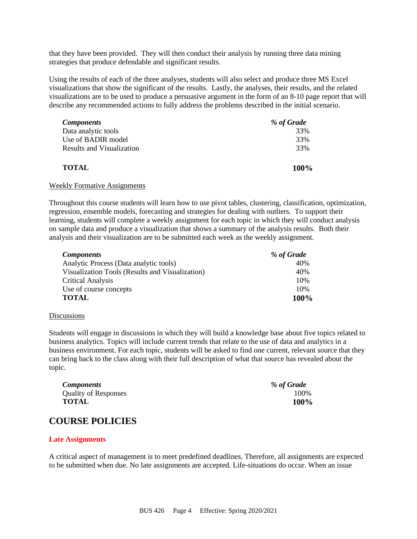that they have been provided. They will then conduct their analysis by running three data mining strategies that produce defendable and significant results.

Using the results of each of the three analyses, students will also select and produce three MS Excel visualizations that show the significant of the results. Lastly, the analyses, their results, and the related visualizations are to be used to produce a persuasive argument in the form of an 8-10 page report that will describe any recommended actions to fully address the problems described in the initial scenario.

| <b>Components</b>         | % of Grade |
|---------------------------|------------|
| Data analytic tools       | 33%        |
| Use of BADIR model        | 33%        |
| Results and Visualization | 33%        |
| <b>TOTAL</b>              | 100%       |

#### Weekly Formative Assignments

Throughout this course students will learn how to use pivot tables, clustering, classification, optimization, regression, ensemble models, forecasting and strategies for dealing with outliers. To support their learning, students will complete a weekly assignment for each topic in which they will conduct analysis on sample data and produce a visualization that shows a summary of the analysis results. Both their analysis and their visualization are to be submitted each week as the weekly assignment.

| <b>Components</b>                               | % of Grade |
|-------------------------------------------------|------------|
| Analytic Process (Data analytic tools)          | 40%        |
| Visualization Tools (Results and Visualization) | 40%        |
| <b>Critical Analysis</b>                        | 10%        |
| Use of course concepts                          | 10%        |
| <b>TOTAL</b>                                    | 100%       |

#### **Discussions**

Students will engage in discussions in which they will build a knowledge base about five topics related to business analytics. Topics will include current trends that relate to the use of data and analytics in a business environment. For each topic, students will be asked to find one current, relevant source that they can bring back to the class along with their full description of what that source has revealed about the topic.

| <b>Components</b>           | % of Grade |
|-----------------------------|------------|
| <b>Quality of Responses</b> | 100\%      |
| TOTAL                       | 100%       |

### **COURSE POLICIES**

#### **Late Assignments**

A critical aspect of management is to meet predefined deadlines. Therefore, all assignments are expected to be submitted when due. No late assignments are accepted. Life-situations do occur. When an issue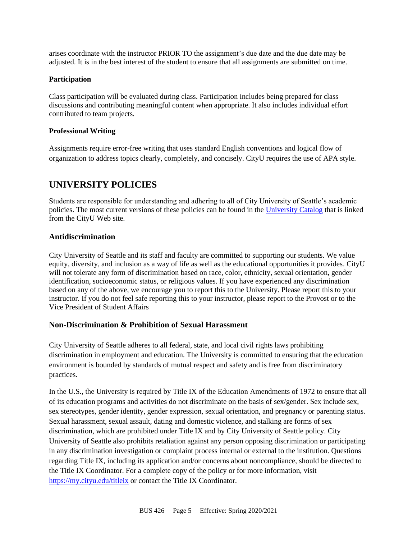arises coordinate with the instructor PRIOR TO the assignment's due date and the due date may be adjusted. It is in the best interest of the student to ensure that all assignments are submitted on time.

#### **Participation**

Class participation will be evaluated during class. Participation includes being prepared for class discussions and contributing meaningful content when appropriate. It also includes individual effort contributed to team projects.

#### **Professional Writing**

Assignments require error-free writing that uses standard English conventions and logical flow of organization to address topics clearly, completely, and concisely. CityU requires the use of APA style.

## **UNIVERSITY POLICIES**

Students are responsible for understanding and adhering to all of City University of Seattle's academic policies. The most current versions of these policies can be found in the [University Catalog](http://www.cityu.edu/catalog/) that is linked from the CityU Web site.

#### **Antidiscrimination**

City University of Seattle and its staff and faculty are committed to supporting our students. We value equity, diversity, and inclusion as a way of life as well as the educational opportunities it provides. CityU will not tolerate any form of discrimination based on race, color, ethnicity, sexual orientation, gender identification, socioeconomic status, or religious values. If you have experienced any discrimination based on any of the above, we encourage you to report this to the University. Please report this to your instructor. If you do not feel safe reporting this to your instructor, please report to the Provost or to the Vice President of Student Affairs

#### **Non-Discrimination & Prohibition of Sexual Harassment**

City University of Seattle adheres to all federal, state, and local civil rights laws prohibiting discrimination in employment and education. The University is committed to ensuring that the education environment is bounded by standards of mutual respect and safety and is free from discriminatory practices.

In the U.S., the University is required by Title IX of the Education Amendments of 1972 to ensure that all of its education programs and activities do not discriminate on the basis of sex/gender. Sex include sex, sex stereotypes, gender identity, gender expression, sexual orientation, and pregnancy or parenting status. Sexual harassment, sexual assault, dating and domestic violence, and stalking are forms of sex discrimination, which are prohibited under Title IX and by City University of Seattle policy. City University of Seattle also prohibits retaliation against any person opposing discrimination or participating in any discrimination investigation or complaint process internal or external to the institution. Questions regarding Title IX, including its application and/or concerns about noncompliance, should be directed to the Title IX Coordinator. For a complete copy of the policy or for more information, visit <https://my.cityu.edu/titleix> or contact the Title IX Coordinator.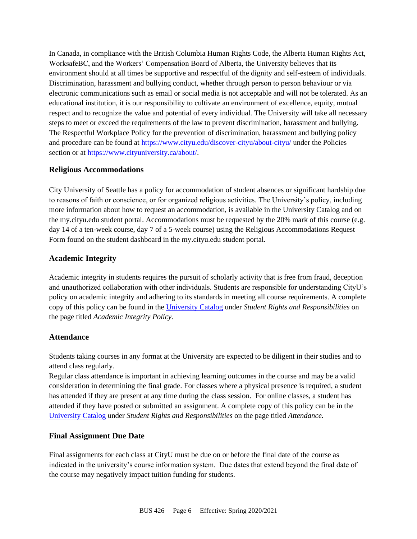In Canada, in compliance with the British Columbia Human Rights Code, the Alberta Human Rights Act, WorksafeBC, and the Workers' Compensation Board of Alberta, the University believes that its environment should at all times be supportive and respectful of the dignity and self-esteem of individuals. Discrimination, harassment and bullying conduct, whether through person to person behaviour or via electronic communications such as email or social media is not acceptable and will not be tolerated. As an educational institution, it is our responsibility to cultivate an environment of excellence, equity, mutual respect and to recognize the value and potential of every individual. The University will take all necessary steps to meet or exceed the requirements of the law to prevent discrimination, harassment and bullying. The Respectful Workplace Policy for the prevention of discrimination, harassment and bullying policy and procedure can be found at<https://www.cityu.edu/discover-cityu/about-cityu/> under the Policies section or at [https://www.cityuniversity.ca/about/.](https://www.cityuniversity.ca/about/)

### **Religious Accommodations**

City University of Seattle has a policy for accommodation of student absences or significant hardship due to reasons of faith or conscience, or for organized religious activities. The University's policy, including more information about how to request an accommodation, is available in the University Catalog and on the my.cityu.edu student portal. Accommodations must be requested by the 20% mark of this course (e.g. day 14 of a ten-week course, day 7 of a 5-week course) using the Religious Accommodations Request Form found on the student dashboard in the my.cityu.edu student portal.

### **Academic Integrity**

Academic integrity in students requires the pursuit of scholarly activity that is free from fraud, deception and unauthorized collaboration with other individuals. Students are responsible for understanding CityU's policy on academic integrity and adhering to its standards in meeting all course requirements. A complete copy of this policy can be found in the [University Catalog](http://www.cityu.edu/catalog/) under *Student Rights and Responsibilities* on the page titled *Academic Integrity Policy.* 

### **Attendance**

Students taking courses in any format at the University are expected to be diligent in their studies and to attend class regularly.

Regular class attendance is important in achieving learning outcomes in the course and may be a valid consideration in determining the final grade. For classes where a physical presence is required, a student has attended if they are present at any time during the class session. For online classes, a student has attended if they have posted or submitted an assignment. A complete copy of this policy can be in the [University Catalog](http://www.cityu.edu/catalog/) under *Student Rights and Responsibilities* on the page titled *Attendance.*

### **Final Assignment Due Date**

Final assignments for each class at CityU must be due on or before the final date of the course as indicated in the university's course information system. Due dates that extend beyond the final date of the course may negatively impact tuition funding for students.